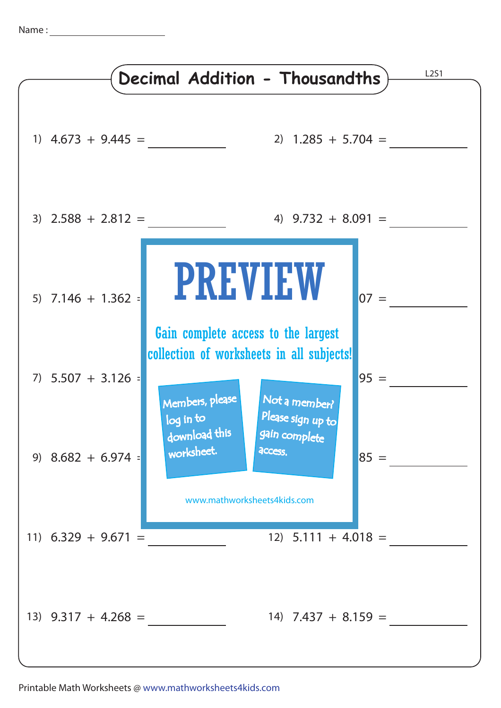